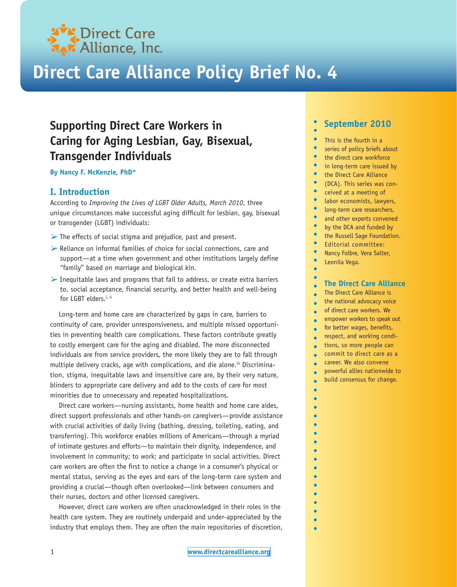

# **Direct Care Alliance Policy Brief No. 4**

## **Supporting Direct Care Workers in Caring for Aging Lesbian, Gay, Bisexual, Transgender Individuals**

**By Nancy F. McKenzie, PhD\***

## **I. Introduction**

According to *Improving the Lives of LGBT Older Adults, March 2010*, three unique circumstances make successful aging difficult for lesbian, gay, bisexual or transgender (LGBT) individuals:

- $\triangleright$  The effects of social stigma and prejudice, past and present.
- $\triangleright$  Reliance on informal families of choice for social connections, care and support—at a time when government and other institutions largely define "family" based on marriage and biological kin.
- $\triangleright$  Inequitable laws and programs that fail to address, or create extra barriers to, social acceptance, financial security, and better health and well-being for LGBT elders.<sup>i, ii</sup>

Long-term and home care are characterized by gaps in care, barriers to continuity of care, provider unresponsiveness, and multiple missed opportunities in preventing health care complications. These factors contribute greatly to costly emergent care for the aging and disabled. The more disconnected individuals are from service providers, the more likely they are to fall through multiple delivery cracks, age with complications, and die alone.<sup>iii</sup> Discrimination, stigma, inequitable laws and insensitive care are, by their very nature, blinders to appropriate care delivery and add to the costs of care for most minorities due to unnecessary and repeated hospitalizations.

Direct care workers—nursing assistants, home health and home care aides, direct support professionals and other hands-on caregivers—provide assistance with crucial activities of daily living (bathing, dressing, toileting, eating, and transferring). This workforce enables millions of Americans—through a myriad of intimate gestures and efforts—to maintain their dignity, independence, and involvement in community; to work; and participate in social activities. Direct care workers are often the first to notice a change in a consumer's physical or mental status, serving as the eyes and ears of the long-term care system and providing a crucial—though often overlooked—link between consumers and their nurses, doctors and other licensed caregivers.

However, direct care workers are often unacknowledged in their roles in the health care system. They are routinely underpaid and under-appreciated by the industry that employs them. They are often the main repositories of discretion,

## **September 2010**

- This is the fourth in a
- $\bullet$ series of policy briefs about
- the direct care workforce
- $\bullet$ in long-term care issued by
- $\bullet$ the Direct Care Alliance
- $\bullet$ (DCA). This series was con-
- $\bullet$ ceived at a meeting of
- $\bullet$ labor economists, lawyers,
- $\bullet$ long-term care researchers,
- $\bullet$ and other experts convened
- $\bullet$ by the DCA and funded by
- $\bullet$ the Russell Sage Foundation.
- $\bullet$ Editorial committee:
- $\bullet$ Nancy Folbre, Vera Salter,
- $\bullet$ Leonila Vega.
- $\bullet$

#### **The Direct Care Alliance**  $\bullet$

- The Direct Care Alliance is  $\bullet$
- the national advocacy voice  $\bullet$
- of direct care workers. We  $\bullet$
- empower workers to speak out  $\blacksquare$
- for better wages, benefits,  $\bullet$
- respect, and working condi- $\bullet$
- tions, so more people can  $\bullet$
- commit to direct care as a  $\bullet$
- career. We also convene  $\bullet$
- powerful allies nationwide to  $\bullet$
- build consensus for change. $\bullet$
- $\bullet$  $\bullet$

 $\bullet$  $\bullet$  $\bullet$  $\bullet$  $\bullet$  $\bullet$  $\bullet$  $\bullet$ 

 $\bullet$ 

 $\bullet$  $\bullet$  $\bullet$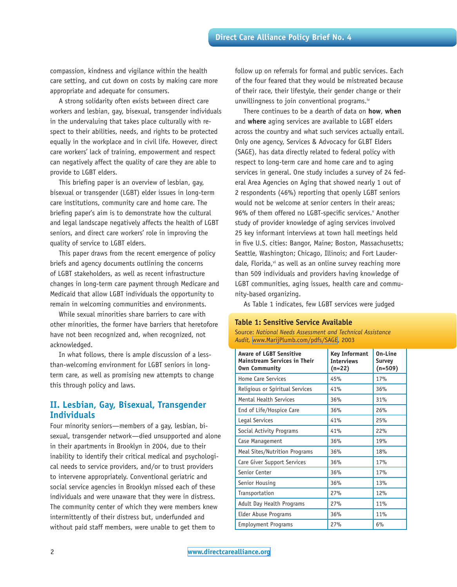compassion, kindness and vigilance within the health care setting, and cut down on costs by making care more appropriate and adequate for consumers.

A strong solidarity often exists between direct care workers and lesbian, gay, bisexual, transgender individuals in the undervaluing that takes place culturally with respect to their abilities, needs, and rights to be protected equally in the workplace and in civil life. However, direct care workers' lack of training, empowerment and respect can negatively affect the quality of care they are able to provide to LGBT elders.

This briefing paper is an overview of lesbian, gay, bisexual or transgender (LGBT) elder issues in long-term care institutions, community care and home care. The briefing paper's aim is to demonstrate how the cultural and legal landscape negatively affects the health of LGBT seniors, and direct care workers' role in improving the quality of service to LGBT elders.

This paper draws from the recent emergence of policy briefs and agency documents outlining the concerns of LGBT stakeholders, as well as recent infrastructure changes in long-term care payment through Medicare and Medicaid that allow LGBT individuals the opportunity to remain in welcoming communities and environments.

While sexual minorities share barriers to care with other minorities, the former have barriers that heretofore have not been recognized and, when recognized, not acknowledged.

In what follows, there is ample discussion of a lessthan-welcoming environment for LGBT seniors in longterm care, as well as promising new attempts to change this through policy and laws.

## **II. Lesbian, Gay, Bisexual, Transgender Individuals**

Four minority seniors—members of a gay, lesbian, bisexual, transgender network—died unsupported and alone in their apartments in Brooklyn in 2004, due to their inability to identify their critical medical and psychological needs to service providers, and/or to trust providers to intervene appropriately. Conventional geriatric and social service agencies in Brooklyn missed each of these individuals and were unaware that they were in distress. The community center of which they were members knew intermittently of their distress but, underfunded and without paid staff members, were unable to get them to

follow up on referrals for formal and public services. Each of the four feared that they would be mistreated because of their race, their lifestyle, their gender change or their unwillingness to join conventional programs.<sup>iv</sup>

There continues to be a dearth of data on **how**, **when** and **where** aging services are available to LGBT elders across the country and what such services actually entail. Only one agency, Services & Advocacy for GLBT Elders (SAGE), has data directly related to federal policy with respect to long-term care and home care and to aging services in general. One study includes a survey of 24 federal Area Agencies on Aging that showed nearly 1 out of 2 respondents (46%) reporting that openly LGBT seniors would not be welcome at senior centers in their areas; 96% of them offered no LGBT-specific services. Another study of provider knowledge of aging services involved 25 key informant interviews at town hall meetings held in five U.S. cities: Bangor, Maine; Boston, Massachusetts; Seattle, Washington; Chicago, Illinois; and Fort Lauderdale, Florida,<sup>vi</sup> as well as an online survey reaching more than 509 individuals and providers having knowledge of LGBT communities, aging issues, health care and community-based organizing.

As Table 1 indicates, few LGBT services were judged

### **Table 1: Sensitive Service Available**

Source: *National Needs Assessment and Technical Assistance Audit,* [www.MarijPlumb.com/pdfs/SAGE,](www.MarijPlumb.com/pdfs/SAGE) 2003

| <b>Aware of LGBT Sensitive</b><br><b>Mainstream Services in Their</b><br><b>Own Community</b> | <b>Key Informant</b><br><b>Interviews</b><br>$(n=22)$ | On-Line<br>Survey<br>$(n=509)$ |
|-----------------------------------------------------------------------------------------------|-------------------------------------------------------|--------------------------------|
| <b>Home Care Services</b>                                                                     | 45%                                                   | 17%                            |
| Religious or Spiritual Services                                                               | 41%                                                   | 36%                            |
| <b>Mental Health Services</b>                                                                 | 36%                                                   | 31%                            |
| End of Life/Hospice Care                                                                      | 36%                                                   | 26%                            |
| Legal Services                                                                                | 41%                                                   | 25%                            |
| Social Activity Programs                                                                      | 41%                                                   | 22%                            |
| Case Management                                                                               | 36%                                                   | 19%                            |
| Meal Sites/Nutrition Programs                                                                 | 36%                                                   | 18%                            |
| Care Giver Support Services                                                                   | 36%                                                   | 17%                            |
| Senior Center                                                                                 | 36%                                                   | 17%                            |
| Senior Housing                                                                                | 36%                                                   | 13%                            |
| Transportation                                                                                | 27%                                                   | 12%                            |
| Adult Day Health Programs                                                                     | 27%                                                   | 11%                            |
| Elder Abuse Programs                                                                          | 36%                                                   | 11%                            |
| <b>Employment Programs</b>                                                                    | 27%                                                   | 6%                             |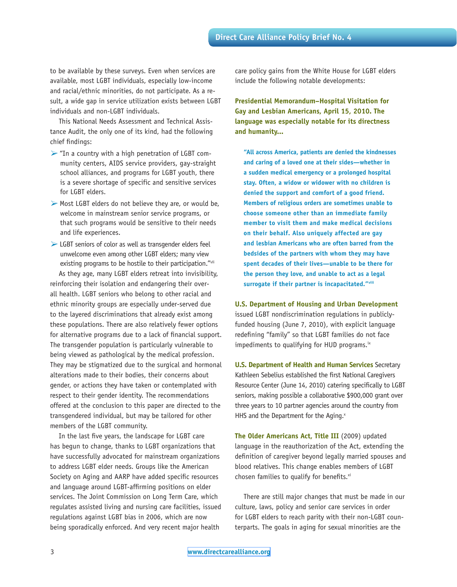to be available by these surveys. Even when services are available, most LGBT individuals, especially low-income and racial/ethnic minorities, do not participate. As a result, a wide gap in service utilization exists between LGBT individuals and non-LGBT individuals.

This National Needs Assessment and Technical Assistance Audit, the only one of its kind, had the following chief findings:

- $\triangleright$  "In a country with a high penetration of LGBT community centers, AIDS service providers, gay-straight school alliances, and programs for LGBT youth, there is a severe shortage of specific and sensitive services for LGBT elders.
- $\triangleright$  Most LGBT elders do not believe they are, or would be, welcome in mainstream senior service programs, or that such programs would be sensitive to their needs and life experiences.
- $\triangleright$  LGBT seniors of color as well as transgender elders feel unwelcome even among other LGBT elders; many view existing programs to be hostile to their participation."vii As they age, many LGBT elders retreat into invisibility, reinforcing their isolation and endangering their overall health. LGBT seniors who belong to other racial and ethnic minority groups are especially under-served due to the layered discriminations that already exist among these populations. There are also relatively fewer options

for alternative programs due to a lack of financial support. The transgender population is particularly vulnerable to being viewed as pathological by the medical profession. They may be stigmatized due to the surgical and hormonal alterations made to their bodies, their concerns about gender, or actions they have taken or contemplated with respect to their gender identity. The recommendations offered at the conclusion to this paper are directed to the transgendered individual, but may be tailored for other members of the LGBT community.

In the last five years, the landscape for LGBT care has begun to change, thanks to LGBT organizations that have successfully advocated for mainstream organizations to address LGBT elder needs. Groups like the American Society on Aging and AARP have added specific resources and language around LGBT-affirming positions on elder services. The Joint Commission on Long Term Care, which regulates assisted living and nursing care facilities, issued regulations against LGBT bias in 2006, which are now being sporadically enforced. And very recent major health

care policy gains from the White House for LGBT elders include the following notable developments:

**Presidential Memorandum–Hospital Visitation for Gay and Lesbian Americans, April 15, 2010. The language was especially notable for its directness and humanity...** 

**"All across America, patients are denied the kindnesses and caring of a loved one at their sides—whether in a sudden medical emergency or a prolonged hospital stay. Often, a widow or widower with no children is denied the support and comfort of a good friend. Members of religious orders are sometimes unable to choose someone other than an immediate family member to visit them and make medical decisions on their behalf. Also uniquely affected are gay and lesbian Americans who are often barred from the bedsides of the partners with whom they may have spent decades of their lives—unable to be there for the person they love, and unable to act as a legal surrogate if their partner is incapacitated."viii**

**U.S. Department of Housing and Urban Development**  issued LGBT nondiscrimination regulations in publiclyfunded housing (June 7, 2010), with explicit language redefining "family" so that LGBT families do not face impediments to qualifying for HUD programs.<sup>ix</sup>

**U.S. Department of Health and Human Services** Secretary Kathleen Sebelius established the first National Caregivers Resource Center (June 14, 2010) catering specifically to LGBT seniors, making possible a collaborative \$900,000 grant over three years to 10 partner agencies around the country from HHS and the Department for the Aging. $x$ 

**The Older Americans Act, Title III** (2009) updated language in the reauthorization of the Act, extending the definition of caregiver beyond legally married spouses and blood relatives. This change enables members of LGBT chosen families to qualify for benefits.<sup>xi</sup>

There are still major changes that must be made in our culture, laws, policy and senior care services in order for LGBT elders to reach parity with their non-LGBT counterparts. The goals in aging for sexual minorities are the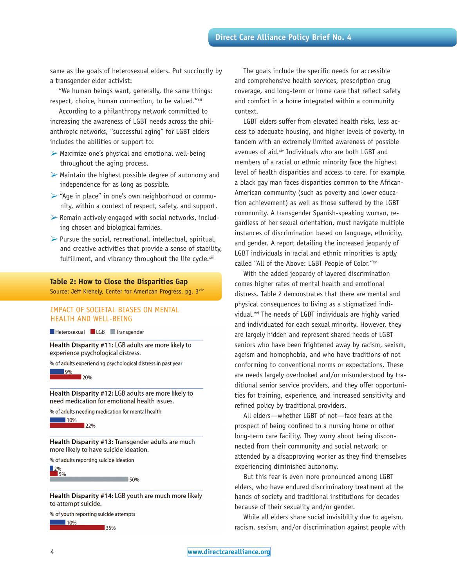same as the goals of heterosexual elders. Put succinctly by a transgender elder activist:

"We human beings want, generally, the same things: respect, choice, human connection, to be valued."xii

According to a philanthropy network committed to increasing the awareness of LGBT needs across the philanthropic networks, "successful aging" for LGBT elders includes the abilities or support to:

- $\triangleright$  Maximize one's physical and emotional well-being throughout the aging process.
- $\triangleright$  Maintain the highest possible degree of autonomy and independence for as long as possible.
- $\triangleright$  "Age in place" in one's own neighborhood or community, within a context of respect, safety, and support.
- $\triangleright$  Remain actively engaged with social networks, including chosen and biological families.
- $\triangleright$  Pursue the social, recreational, intellectual, spiritual, and creative activities that provide a sense of stability, fulfillment, and vibrancy throughout the life cycle.xiii

#### **Table 2: How to Close the Disparities Gap**

Source: Jeff Krehely, Center for American Progress, pg. 3<sup>xiv</sup>

#### IMPACT OF SOCIETAL BIASES ON MENTAL HEALTH AND WELL-BEING

Heterosexual LGB Transgender

Health Disparity #11: LGB adults are more likely to experience psychological distress.

% of adults experiencing psychological distress in past year



Health Disparity #12: LGB adults are more likely to need medication for emotional health issues.

% of adults needing medication for mental health



Health Disparity #13: Transgender adults are much more likely to have suicide ideation.

% of adults reporting suicide ideation

 $\frac{12\%}{5\%}$  $\sim$  50%

Health Disparity #14: LGB youth are much more likely to attempt suicide.

% of youth reporting suicide attempts  $\blacksquare$  10%

 $\blacksquare$  35%

The goals include the specific needs for accessible and comprehensive health services, prescription drug coverage, and long-term or home care that reflect safety and comfort in a home integrated within a community context.

LGBT elders suffer from elevated health risks, less access to adequate housing, and higher levels of poverty, in tandem with an extremely limited awareness of possible avenues of aid.<sup>xiv</sup> Individuals who are both LGBT and members of a racial or ethnic minority face the highest level of health disparities and access to care. For example, a black gay man faces disparities common to the African-American community (such as poverty and lower education achievement) as well as those suffered by the LGBT community. A transgender Spanish-speaking woman, regardless of her sexual orientation, must navigate multiple instances of discrimination based on language, ethnicity, and gender. A report detailing the increased jeopardy of LGBT individuals in racial and ethnic minorities is aptly called "All of the Above: LGBT People of Color."xv

With the added jeopardy of layered discrimination comes higher rates of mental health and emotional distress. Table 2 demonstrates that there are mental and physical consequences to living as a stigmatized individual.<sup>xvi</sup> The needs of LGBT individuals are highly varied and individuated for each sexual minority. However, they are largely hidden and represent shared needs of LGBT seniors who have been frightened away by racism, sexism, ageism and homophobia, and who have traditions of not conforming to conventional norms or expectations. These are needs largely overlooked and/or misunderstood by traditional senior service providers, and they offer opportunities for training, experience, and increased sensitivity and refined policy by traditional providers.

All elders—whether LGBT of not—face fears at the prospect of being confined to a nursing home or other long-term care facility. They worry about being disconnected from their community and social network, or attended by a disapproving worker as they find themselves experiencing diminished autonomy.

But this fear is even more pronounced among LGBT elders, who have endured discriminatory treatment at the hands of society and traditional institutions for decades because of their sexuality and/or gender.

While all elders share social invisibility due to ageism, racism, sexism, and/or discrimination against people with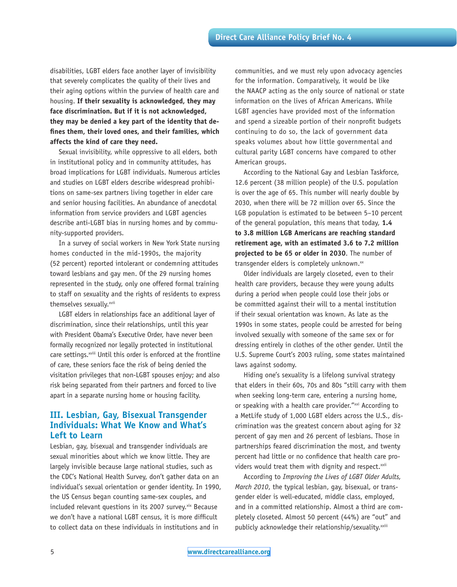disabilities, LGBT elders face another layer of invisibility that severely complicates the quality of their lives and their aging options within the purview of health care and housing. **If their sexuality is acknowledged, they may face discrimination. But if it is not acknowledged, they may be denied a key part of the identity that defines them, their loved ones, and their families, which affects the kind of care they need.** 

Sexual invisibility, while oppressive to all elders, both in institutional policy and in community attitudes, has broad implications for LGBT individuals. Numerous articles and studies on LGBT elders describe widespread prohibitions on same-sex partners living together in elder care and senior housing facilities. An abundance of anecdotal information from service providers and LGBT agencies describe anti-LGBT bias in nursing homes and by community-supported providers.

In a survey of social workers in New York State nursing homes conducted in the mid-1990s, the majority (52 percent) reported intolerant or condemning attitudes toward lesbians and gay men. Of the 29 nursing homes represented in the study, only one offered formal training to staff on sexuality and the rights of residents to express themselves sexually.<sup>xvii</sup>

LGBT elders in relationships face an additional layer of discrimination, since their relationships, until this year with President Obama's Executive Order, have never been formally recognized nor legally protected in institutional care settings.<sup>xviii</sup> Until this order is enforced at the frontline of care, these seniors face the risk of being denied the visitation privileges that non-LGBT spouses enjoy; and also risk being separated from their partners and forced to live apart in a separate nursing home or housing facility.

## **III. Lesbian, Gay, Bisexual Transgender Individuals: What We Know and What's Left to Learn**

Lesbian, gay, bisexual and transgender individuals are sexual minorities about which we know little. They are largely invisible because large national studies, such as the CDC's National Health Survey, don't gather data on an individual's sexual orientation or gender identity. In 1990, the US Census began counting same-sex couples, and included relevant questions in its 2007 survey. *xix* Because we don't have a national LGBT census, it is more difficult to collect data on these individuals in institutions and in

communities, and we must rely upon advocacy agencies for the information. Comparatively, it would be like the NAACP acting as the only source of national or state information on the lives of African Americans. While LGBT agencies have provided most of the information and spend a sizeable portion of their nonprofit budgets continuing to do so, the lack of government data speaks volumes about how little governmental and cultural parity LGBT concerns have compared to other American groups.

According to the National Gay and Lesbian Taskforce, 12.6 percent (38 million people) of the U.S. population is over the age of 65. This number will nearly double by 2030, when there will be 72 million over 65. Since the LGB population is estimated to be between 5–10 percent of the general population, this means that today, **1.4 to 3.8 million LGB Americans are reaching standard retirement age, with an estimated 3.6 to 7.2 million projected to be 65 or older in 2030**. The number of transgender elders is completely unknown.<sup>xx</sup>

Older individuals are largely closeted, even to their health care providers, because they were young adults during a period when people could lose their jobs or be committed against their will to a mental institution if their sexual orientation was known. As late as the 1990s in some states, people could be arrested for being involved sexually with someone of the same sex or for dressing entirely in clothes of the other gender. Until the U.S. Supreme Court's 2003 ruling, some states maintained laws against sodomy.

Hiding one's sexuality is a lifelong survival strategy that elders in their 60s, 70s and 80s "still carry with them when seeking long-term care, entering a nursing home, or speaking with a health care provider."xxi According to a MetLife study of 1,000 LGBT elders across the U.S., discrimination was the greatest concern about aging for 32 percent of gay men and 26 percent of lesbians. Those in partnerships feared discrimination the most, and twenty percent had little or no confidence that health care providers would treat them with dignity and respect.<sup>xxii</sup>

According to *Improving the Lives of LGBT Older Adults, March 2010*, the typical lesbian, gay, bisexual, or transgender elder is well-educated, middle class, employed, and in a committed relationship. Almost a third are completely closeted. Almost 50 percent (44%) are "out" and publicly acknowledge their relationship/sexuality.<sup>xxiii</sup>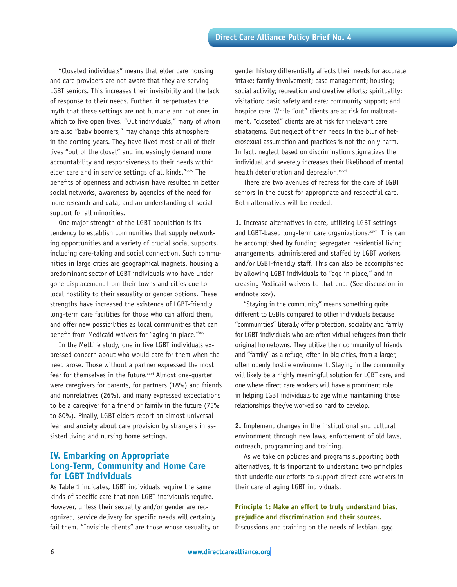"Closeted individuals" means that elder care housing and care providers are not aware that they are serving LGBT seniors. This increases their invisibility and the lack of response to their needs. Further, it perpetuates the myth that these settings are not humane and not ones in which to live open lives. "Out individuals," many of whom are also "baby boomers," may change this atmosphere in the coming years. They have lived most or all of their lives "out of the closet" and increasingly demand more accountability and responsiveness to their needs within elder care and in service settings of all kinds."xxiv The benefits of openness and activism have resulted in better social networks, awareness by agencies of the need for more research and data, and an understanding of social support for all minorities.

One major strength of the LGBT population is its tendency to establish communities that supply networking opportunities and a variety of crucial social supports, including care-taking and social connection. Such communities in large cities are geographical magnets, housing a predominant sector of LGBT individuals who have undergone displacement from their towns and cities due to local hostility to their sexuality or gender options. These strengths have increased the existence of LGBT-friendly long-term care facilities for those who can afford them, and offer new possibilities as local communities that can benefit from Medicaid waivers for "aging in place."xxv

In the MetLife study, one in five LGBT individuals expressed concern about who would care for them when the need arose. Those without a partner expressed the most fear for themselves in the future.<sup>xxvi</sup> Almost one-quarter were caregivers for parents, for partners (18%) and friends and nonrelatives (26%), and many expressed expectations to be a caregiver for a friend or family in the future (75% to 80%). Finally, LGBT elders report an almost universal fear and anxiety about care provision by strangers in assisted living and nursing home settings.

## **IV. Embarking on Appropriate Long-Term, Community and Home Care for LGBT Individuals**

As Table 1 indicates, LGBT individuals require the same kinds of specific care that non-LGBT individuals require. However, unless their sexuality and/or gender are recognized, service delivery for specific needs will certainly fail them. "Invisible clients" are those whose sexuality or

gender history differentially affects their needs for accurate intake; family involvement; case management; housing; social activity; recreation and creative efforts; spirituality; visitation; basic safety and care; community support; and hospice care. While "out" clients are at risk for maltreatment, "closeted" clients are at risk for irrelevant care stratagems. But neglect of their needs in the blur of heterosexual assumption and practices is not the only harm. In fact, neglect based on discrimination stigmatizes the individual and severely increases their likelihood of mental health deterioration and depression.<sup>xxvii</sup>

There are two avenues of redress for the care of LGBT seniors in the quest for appropriate and respectful care. Both alternatives will be needed.

**1.** Increase alternatives in care, utilizing LGBT settings and LGBT-based long-term care organizations.<sup>xxviii</sup> This can be accomplished by funding segregated residential living arrangements, administered and staffed by LGBT workers and/or LGBT-friendly staff. This can also be accomplished by allowing LGBT individuals to "age in place," and increasing Medicaid waivers to that end. (See discussion in endnote xxv).

"Staying in the community" means something quite different to LGBTs compared to other individuals because "communities" literally offer protection, sociality and family for LGBT individuals who are often virtual refugees from their original hometowns. They utilize their community of friends and "family" as a refuge, often in big cities, from a larger, often openly hostile environment. Staying in the community will likely be a highly meaningful solution for LGBT care, and one where direct care workers will have a prominent role in helping LGBT individuals to age while maintaining those relationships they've worked so hard to develop.

**2.** Implement changes in the institutional and cultural environment through new laws, enforcement of old laws, outreach, programming and training.

As we take on policies and programs supporting both alternatives, it is important to understand two principles that underlie our efforts to support direct care workers in their care of aging LGBT individuals.

## **Principle 1: Make an effort to truly understand bias, prejudice and discrimination and their sources.**

Discussions and training on the needs of lesbian, gay,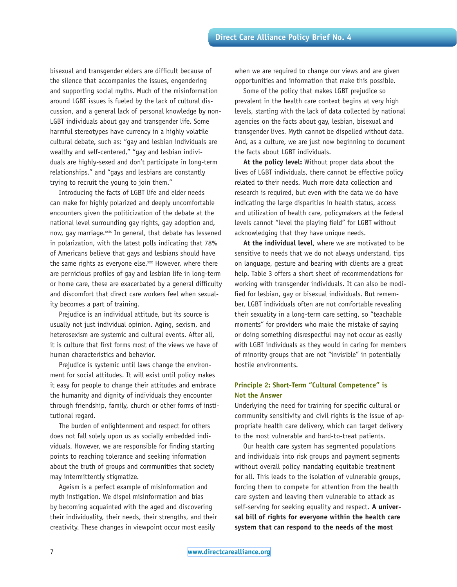bisexual and transgender elders are difficult because of the silence that accompanies the issues, engendering and supporting social myths. Much of the misinformation around LGBT issues is fueled by the lack of cultural discussion, and a general lack of personal knowledge by non-LGBT individuals about gay and transgender life. Some harmful stereotypes have currency in a highly volatile cultural debate, such as: "gay and lesbian individuals are wealthy and self-centered," "gay and lesbian individuals are highly-sexed and don't participate in long-term relationships," and "gays and lesbians are constantly trying to recruit the young to join them."

Introducing the facts of LGBT life and elder needs can make for highly polarized and deeply uncomfortable encounters given the politicization of the debate at the national level surrounding gay rights, gay adoption and, now, gay marriage.<sup>xxix</sup> In general, that debate has lessened in polarization, with the latest polls indicating that 78% of Americans believe that gays and lesbians should have the same rights as everyone else.<sup>xxx</sup> However, where there are pernicious profiles of gay and lesbian life in long-term or home care, these are exacerbated by a general difficulty and discomfort that direct care workers feel when sexuality becomes a part of training.

Prejudice is an individual attitude, but its source is usually not just individual opinion. Aging, sexism, and heterosexism are systemic and cultural events. After all, it is culture that first forms most of the views we have of human characteristics and behavior.

Prejudice is systemic until laws change the environment for social attitudes. It will exist until policy makes it easy for people to change their attitudes and embrace the humanity and dignity of individuals they encounter through friendship, family, church or other forms of institutional regard.

The burden of enlightenment and respect for others does not fall solely upon us as socially embedded individuals. However, we are responsible for finding starting points to reaching tolerance and seeking information about the truth of groups and communities that society may intermittently stigmatize.

Ageism is a perfect example of misinformation and myth instigation. We dispel misinformation and bias by becoming acquainted with the aged and discovering their individuality, their needs, their strengths, and their creativity. These changes in viewpoint occur most easily

when we are required to change our views and are given opportunities and information that make this possible.

Some of the policy that makes LGBT prejudice so prevalent in the health care context begins at very high levels, starting with the lack of data collected by national agencies on the facts about gay, lesbian, bisexual and transgender lives. Myth cannot be dispelled without data. And, as a culture, we are just now beginning to document the facts about LGBT individuals.

**At the policy level:** Without proper data about the lives of LGBT individuals, there cannot be effective policy related to their needs. Much more data collection and research is required, but even with the data we do have indicating the large disparities in health status, access and utilization of health care, policymakers at the federal levels cannot "level the playing field" for LGBT without acknowledging that they have unique needs.

**At the individual level**, where we are motivated to be sensitive to needs that we do not always understand, tips on language, gesture and bearing with clients are a great help. Table 3 offers a short sheet of recommendations for working with transgender individuals. It can also be modified for lesbian, gay or bisexual individuals. But remember, LGBT individuals often are not comfortable revealing their sexuality in a long-term care setting, so "teachable moments" for providers who make the mistake of saying or doing something disrespectful may not occur as easily with LGBT individuals as they would in caring for members of minority groups that are not "invisible" in potentially hostile environments.

## **Principle 2: Short-Term "Cultural Competence" is Not the Answer**

Underlying the need for training for specific cultural or community sensitivity and civil rights is the issue of appropriate health care delivery, which can target delivery to the most vulnerable and hard-to-treat patients.

Our health care system has segmented populations and individuals into risk groups and payment segments without overall policy mandating equitable treatment for all. This leads to the isolation of vulnerable groups, forcing them to compete for attention from the health care system and leaving them vulnerable to attack as self-serving for seeking equality and respect. **A universal bill of rights for everyone within the health care system that can respond to the needs of the most**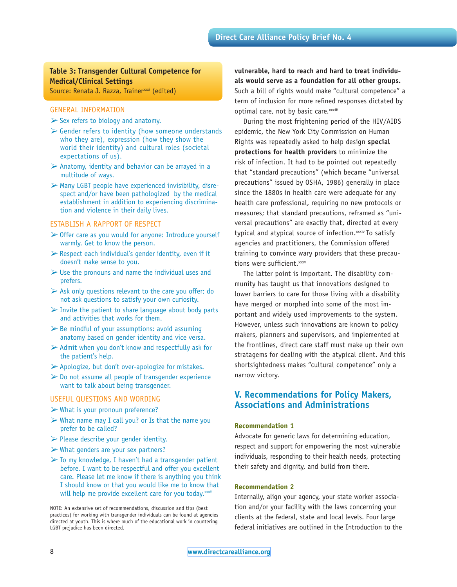## **Table 3: Transgender Cultural Competence for Medical/Clinical Settings**

Source: Renata J. Razza, Trainer<sup>xxxi</sup> (edited)

#### GENERAL INFORMATION

- $\triangleright$  Sex refers to biology and anatomy.
- $\triangleright$  Gender refers to identity (how someone understands who they are), expression (how they show the world their identity) and cultural roles (societal expectations of us).
- $\triangleright$  Anatomy, identity and behavior can be arrayed in a multitude of ways.
- $\triangleright$  Many LGBT people have experienced invisibility, disrespect and/or have been pathologized by the medical establishment in addition to experiencing discrimination and violence in their daily lives.

#### ESTABLISH A RAPPORT OF RESPECT

- $\triangleright$  Offer care as you would for anyone: Introduce yourself warmly. Get to know the person.
- $\triangleright$  Respect each individual's gender identity, even if it doesn't make sense to you.
- $\triangleright$  Use the pronouns and name the individual uses and prefers.
- $\triangleright$  Ask only questions relevant to the care you offer; do not ask questions to satisfy your own curiosity.
- $\triangleright$  Invite the patient to share language about body parts and activities that works for them.
- $\triangleright$  Be mindful of your assumptions: avoid assuming anatomy based on gender identity and vice versa.
- $\triangleright$  Admit when you don't know and respectfully ask for the patient's help.
- $\triangleright$  Apologize, but don't over-apologize for mistakes.
- $\triangleright$  Do not assume all people of transgender experience want to talk about being transgender.

#### USEFUL QUESTIONS AND WORDING

- $\triangleright$  What is your pronoun preference?
- $\triangleright$  What name may I call you? or Is that the name you prefer to be called?
- $\triangleright$  Please describe your gender identity.
- $\triangleright$  What genders are your sex partners?
- $\triangleright$  To my knowledge, I haven't had a transgender patient before. I want to be respectful and offer you excellent care. Please let me know if there is anything you think I should know or that you would like me to know that will help me provide excellent care for you today. xxxii

NOTE: An extensive set of recommendations, discussion and tips (best practices) for working with transgender individuals can be found at agencies directed at youth. This is where much of the educational work in countering LGBT prejudice has been directed.

**vulnerable, hard to reach and hard to treat individuals would serve as a foundation for all other groups.** Such a bill of rights would make "cultural competence" a term of inclusion for more refined responses dictated by optimal care, not by basic care. xxxiii

During the most frightening period of the HIV/AIDS epidemic, the New York City Commission on Human Rights was repeatedly asked to help design **special protections for health providers** to minimize the risk of infection. It had to be pointed out repeatedly that "standard precautions" (which became "universal precautions" issued by OSHA, 1986) generally in place since the 1880s in health care were adequate for any health care professional, requiring no new protocols or measures; that standard precautions, reframed as "universal precautions" are exactly that, directed at every typical and atypical source of infection.<sup>xxxiv</sup> To satisfy agencies and practitioners, the Commission offered training to convince wary providers that these precautions were sufficient. xxxv

The latter point is important. The disability community has taught us that innovations designed to lower barriers to care for those living with a disability have merged or morphed into some of the most important and widely used improvements to the system. However, unless such innovations are known to policy makers, planners and supervisors, and implemented at the frontlines, direct care staff must make up their own stratagems for dealing with the atypical client. And this shortsightedness makes "cultural competence" only a narrow victory.

## **V. Recommendations for Policy Makers, Associations and Administrations**

#### **Recommendation 1**

Advocate for generic laws for determining education, respect and support for empowering the most vulnerable individuals, responding to their health needs, protecting their safety and dignity, and build from there.

#### **Recommendation 2**

Internally, align your agency, your state worker association and/or your facility with the laws concerning your clients at the federal, state and local levels. Four large federal initiatives are outlined in the Introduction to the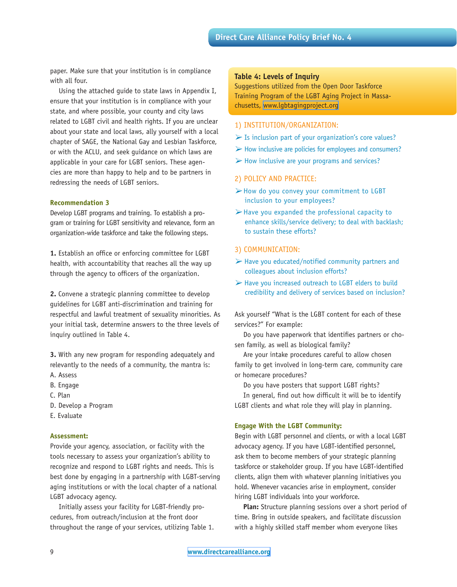paper. Make sure that your institution is in compliance with all four.

Using the attached guide to state laws in Appendix I, ensure that your institution is in compliance with your state, and where possible, your county and city laws related to LGBT civil and health rights. If you are unclear about your state and local laws, ally yourself with a local chapter of SAGE, the National Gay and Lesbian Taskforce, or with the ACLU, and seek guidance on which laws are applicable in your care for LGBT seniors. These agencies are more than happy to help and to be partners in redressing the needs of LGBT seniors.

#### **Recommendation 3**

Develop LGBT programs and training. To establish a program or training for LGBT sensitivity and relevance, form an organization-wide taskforce and take the following steps.

**1.** Establish an office or enforcing committee for LGBT health, with accountability that reaches all the way up through the agency to officers of the organization.

**2.** Convene a strategic planning committee to develop guidelines for LGBT anti-discrimination and training for respectful and lawful treatment of sexuality minorities. As your initial task, determine answers to the three levels of inquiry outlined in Table 4.

**3.** With any new program for responding adequately and relevantly to the needs of a community, the mantra is: A. Assess

- B. Engage
- C. Plan
- D. Develop a Program
- E. Evaluate

#### **Assessment:**

Provide your agency, association, or facility with the tools necessary to assess your organization's ability to recognize and respond to LGBT rights and needs. This is best done by engaging in a partnership with LGBT-serving aging institutions or with the local chapter of a national LGBT advocacy agency.

Initially assess your facility for LGBT-friendly procedures, from outreach/inclusion at the front door throughout the range of your services, utilizing Table 1.

#### **Table 4: Levels of Inquiry**

Suggestions utilized from the Open Door Taskforce Training Program of the LGBT Aging Project in Massachusetts,<www.lgbtagingproject.org>

#### 1) INSTITUTION/ORGANIZATION:

- $\triangleright$  Is inclusion part of your organization's core values?
- $\triangleright$  How inclusive are policies for employees and consumers?
- $\triangleright$  How inclusive are your programs and services?

#### 2) POLICY AND PRACTICE:

- ØHow do you convey your commitment to LGBT inclusion to your employees?
- $\triangleright$  Have you expanded the professional capacity to enhance skills/service delivery; to deal with backlash; to sustain these efforts?

#### 3) COMMUNICATION:

- $\triangleright$  Have you educated/notified community partners and colleagues about inclusion efforts?
- $\triangleright$  Have you increased outreach to LGBT elders to build credibility and delivery of services based on inclusion?

Ask yourself "What is the LGBT content for each of these services?" For example:

Do you have paperwork that identifies partners or chosen family, as well as biological family?

Are your intake procedures careful to allow chosen family to get involved in long-term care, community care or homecare procedures?

Do you have posters that support LGBT rights?

In general, find out how difficult it will be to identify LGBT clients and what role they will play in planning.

#### **Engage With the LGBT Community:**

Begin with LGBT personnel and clients, or with a local LGBT advocacy agency. If you have LGBT-identified personnel, ask them to become members of your strategic planning taskforce or stakeholder group. If you have LGBT-identified clients, align them with whatever planning initiatives you hold. Whenever vacancies arise in employment, consider hiring LGBT individuals into your workforce.

**Plan:** Structure planning sessions over a short period of time. Bring in outside speakers, and facilitate discussion with a highly skilled staff member whom everyone likes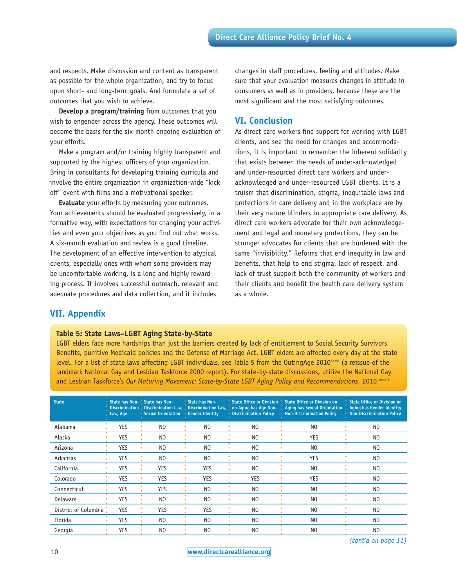and respects. Make discussion and content as transparent as possible for the whole organization, and try to focus upon short- and long-term goals. And formulate a set of outcomes that you wish to achieve.

**Develop a program/training** from outcomes that you wish to engender across the agency. These outcomes will become the basis for the six-month ongoing evaluation of your efforts.

Make a program and/or training highly transparent and supported by the highest officers of your organization. Bring in consultants for developing training curricula and involve the entire organization in organization-wide "kick off" event with films and a motivational speaker.

**Evaluate** your efforts by measuring your outcomes. Your achievements should be evaluated progressively, in a formative way, with expectations for changing your activities and even your objectives as you find out what works. A six-month evaluation and review is a good timeline. The development of an effective intervention to atypical clients, especially ones with whom some providers may be uncomfortable working, is a long and highly rewarding process. It involves successful outreach, relevant and adequate procedures and data collection, and it includes

changes in staff procedures, feeling and attitudes. Make sure that your evaluation measures changes in attitude in consumers as well as in providers, because these are the most significant and the most satisfying outcomes.

## **VI. Conclusion**

As direct care workers find support for working with LGBT clients, and see the need for changes and accommodations, it is important to remember the inherent solidarity that exists between the needs of under-acknowledged and under-resourced direct care workers and underacknowledged and under-resourced LGBT clients. It is a truism that discrimination, stigma, inequitable laws and protections in care delivery and in the workplace are by their very nature blinders to appropriate care delivery. As direct care workers advocate for their own acknowledgement and legal and monetary protections, they can be stronger advocates for clients that are burdened with the same "invisibility." Reforms that end inequity in law and benefits, that help to end stigma, lack of respect, and lack of trust support both the community of workers and their clients and benefit the health care delivery system as a whole.

## **VII. Appendix**

#### **Table 5: State Laws–LGBT Aging State-by-State**

LGBT elders face more hardships than just the barriers created by lack of entitlement to Social Security Survivors Benefits, punitive Medicaid policies and the Defense of Marriage Act. LGBT elders are affected every day at the state level. For a list of state laws affecting LGBT individuals, see Table 5 from the OutingAge 2010xxxvi (a reissue of the landmark National Gay and Lesbian Taskforce 2000 report). For state-by-state discussions, utilize the National Gay and Lesbian Taskforce's Our Maturing Movement: State-by-State LGBT Aging Policy and Recommendations, 2010.xxxvii

| <b>State</b>         | State has Non- State has Non-<br>Law, Age | • Sexual Orientation • Gender Identity | State has Non-  | • Discrimination Policy | State Office or Division State Office or Division on<br>Discrimination Discrimination Law, Discrimination Law, on Aging has Age Non- Aging has Sexual Orientation Aging has Gender Identity<br>• Non-Discrimination Policy | State Office or Division on<br>• Non-Discrimination Policy |
|----------------------|-------------------------------------------|----------------------------------------|-----------------|-------------------------|----------------------------------------------------------------------------------------------------------------------------------------------------------------------------------------------------------------------------|------------------------------------------------------------|
| Alabama              | <b>YES</b>                                | N <sub>0</sub>                         | N <sub>0</sub>  | N <sub>0</sub>          | N <sub>0</sub>                                                                                                                                                                                                             | N <sub>0</sub>                                             |
| Alaska               | <b>YES</b>                                | N <sub>0</sub>                         | N <sub>0</sub>  | N <sub>0</sub>          | <b>YES</b>                                                                                                                                                                                                                 | N <sub>0</sub>                                             |
| Arizona              | YES                                       | N <sub>0</sub>                         | N <sub>0</sub>  | N <sub>0</sub>          | N <sub>O</sub>                                                                                                                                                                                                             | N <sub>0</sub>                                             |
| Arkansas             | <b>YES</b>                                | N <sub>0</sub>                         | N <sub>0</sub>  | N <sub>0</sub>          | <b>YES</b>                                                                                                                                                                                                                 | N <sub>0</sub>                                             |
| California           | YES                                       | YES                                    | <b>YES</b>      | N <sub>0</sub>          | N <sub>O</sub>                                                                                                                                                                                                             | N <sub>0</sub>                                             |
| Colorado             | <b>YES</b>                                | <b>YES</b>                             | <b>YES</b><br>٠ | <b>YES</b>              | <b>YES</b>                                                                                                                                                                                                                 | N <sub>0</sub>                                             |
| Connecticut          | <b>YES</b>                                | <b>YES</b>                             | N <sub>0</sub>  | N <sub>0</sub>          | N <sub>0</sub>                                                                                                                                                                                                             | N <sub>0</sub>                                             |
| Delaware             | <b>YES</b>                                | N <sub>0</sub>                         | N <sub>0</sub>  | N <sub>0</sub>          | N <sub>O</sub>                                                                                                                                                                                                             | N <sub>0</sub>                                             |
| District of Columbia | <b>YES</b>                                | <b>YES</b>                             | <b>YES</b>      | N <sub>0</sub>          | N <sub>0</sub>                                                                                                                                                                                                             | N <sub>0</sub>                                             |
| Florida              | <b>YES</b>                                | N <sub>0</sub>                         | N <sub>0</sub>  | N <sub>0</sub>          | N <sub>O</sub>                                                                                                                                                                                                             | N <sub>0</sub>                                             |
| Georgia              | YES                                       | N <sub>0</sub>                         | N <sub>0</sub>  | N <sub>0</sub>          | N <sub>O</sub>                                                                                                                                                                                                             | N <sub>0</sub>                                             |

*(cont'd on page 11)*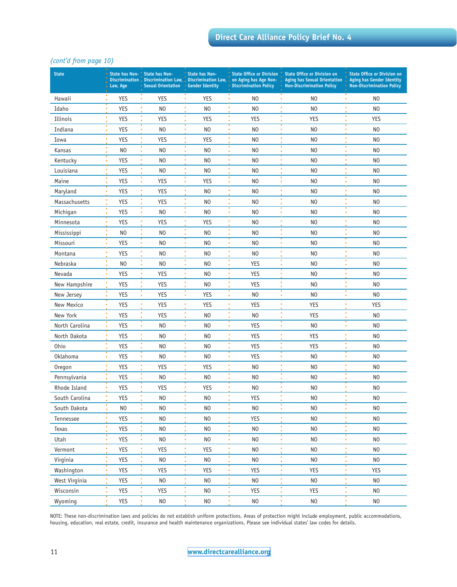## *(cont'd from page 10)*

| <b>State</b>   | Law, Age        | State has Non- State has Non-<br>Discrimination Discrimination Law, Discrimination Law,<br>Sexual Orientation • Gender Identity | <b>State has Non-</b>                        | State Office or Division<br>on Aging has Age Non-<br><b>Discrimination Policy</b> | <b>State Office or Division on</b><br>Aging has Sexual Orientation<br><b>Non-Discrimination Policy</b> | <b>State Office or Division on</b><br><b>Aging has Gender Identity</b><br><b>Non-Discrimination Policy</b> |
|----------------|-----------------|---------------------------------------------------------------------------------------------------------------------------------|----------------------------------------------|-----------------------------------------------------------------------------------|--------------------------------------------------------------------------------------------------------|------------------------------------------------------------------------------------------------------------|
| Hawaii         | <b>YES</b>      | <b>YES</b>                                                                                                                      | <b>YES</b><br>$\bullet$                      | N <sub>0</sub>                                                                    | N <sub>0</sub>                                                                                         | N <sub>0</sub>                                                                                             |
| Idaho          | <b>YES</b>      | N <sub>0</sub>                                                                                                                  | N <sub>O</sub>                               | N <sub>O</sub>                                                                    | N <sub>O</sub>                                                                                         | N <sub>0</sub>                                                                                             |
| Illinois       | <b>YES</b>      | <b>YES</b>                                                                                                                      | <b>YES</b><br>٠                              | <b>YES</b>                                                                        | <b>YES</b>                                                                                             | YES                                                                                                        |
| Indiana        | <b>YES</b>      | N <sub>0</sub>                                                                                                                  | N <sub>0</sub><br>$\bullet$                  | N <sub>0</sub>                                                                    | N <sub>O</sub>                                                                                         | N <sub>0</sub>                                                                                             |
| Iowa           | <b>YES</b>      | <b>YES</b><br>٠                                                                                                                 | <b>YES</b><br>٠                              | N <sub>0</sub>                                                                    | N <sub>O</sub>                                                                                         | N <sub>O</sub>                                                                                             |
| Kansas         | N <sub>0</sub>  | N <sub>0</sub>                                                                                                                  | ٠<br>N <sub>0</sub>                          | N <sub>0</sub>                                                                    | ٠<br>N <sub>O</sub>                                                                                    | N <sub>0</sub>                                                                                             |
| Kentucky       | <b>YES</b>      | N <sub>0</sub>                                                                                                                  | ٠<br>N <sub>0</sub><br>٠                     | N <sub>0</sub>                                                                    | N <sub>O</sub><br>٠                                                                                    | N <sub>O</sub>                                                                                             |
| Louisiana      | <b>YES</b>      | N <sub>0</sub>                                                                                                                  | N <sub>O</sub><br>۰                          | N <sub>O</sub>                                                                    | N <sub>O</sub>                                                                                         | N <sub>O</sub>                                                                                             |
| Maine          | <b>YES</b>      | <b>YES</b>                                                                                                                      | ٠<br><b>YES</b>                              | N <sub>O</sub>                                                                    | N <sub>O</sub>                                                                                         | N <sub>O</sub>                                                                                             |
| Maryland       | <b>YES</b>      | <b>YES</b>                                                                                                                      | N <sub>0</sub>                               | N <sub>O</sub>                                                                    | N <sub>0</sub>                                                                                         | N <sub>O</sub>                                                                                             |
| Massachusetts  | <b>YES</b>      | <b>YES</b>                                                                                                                      | N <sub>0</sub>                               | N <sub>0</sub>                                                                    | N <sub>O</sub>                                                                                         | N <sub>O</sub>                                                                                             |
| Michigan       | <b>YES</b>      | N <sub>0</sub>                                                                                                                  | ٠<br>N <sub>0</sub>                          | N <sub>0</sub>                                                                    | ٠<br>N <sub>0</sub>                                                                                    | ٠<br>N <sub>0</sub>                                                                                        |
| Minnesota      | <b>YES</b>      | ٠<br><b>YES</b>                                                                                                                 | $\bullet$<br><b>YES</b><br>$\bullet$         | N <sub>O</sub>                                                                    | $\bullet$<br>N <sub>O</sub>                                                                            | ۰<br>N <sub>O</sub>                                                                                        |
| Mississippi    | N <sub>0</sub>  | N <sub>0</sub>                                                                                                                  | N <sub>0</sub><br>۰                          | N <sub>0</sub>                                                                    | N <sub>O</sub>                                                                                         | N <sub>0</sub>                                                                                             |
| Missouri       | <b>YES</b>      | N <sub>0</sub>                                                                                                                  | $\bullet$<br>N <sub>O</sub>                  | N <sub>0</sub>                                                                    | ٠<br>N <sub>O</sub>                                                                                    | ٠<br>N <sub>O</sub>                                                                                        |
| Montana        | <b>YES</b>      | N <sub>0</sub>                                                                                                                  | $\bullet$<br>N <sub>O</sub><br>٠             | N <sub>O</sub>                                                                    | ٠<br>N <sub>O</sub>                                                                                    | N <sub>O</sub>                                                                                             |
| Nebraska       | N <sub>O</sub>  | N <sub>0</sub><br>٠                                                                                                             | N <sub>O</sub><br>٠                          | <b>YES</b>                                                                        | N <sub>O</sub><br>٠                                                                                    | N <sub>O</sub><br>ċ                                                                                        |
| Nevada         | <b>YES</b>      | <b>YES</b>                                                                                                                      | N <sub>O</sub>                               | <b>YES</b>                                                                        | N <sub>0</sub>                                                                                         | N <sub>O</sub>                                                                                             |
| New Hampshire  | <b>YES</b><br>٠ | <b>YES</b>                                                                                                                      | ٠<br>N <sub>O</sub><br>$\bullet$             | <b>YES</b>                                                                        | N <sub>O</sub>                                                                                         | N <sub>O</sub>                                                                                             |
| New Jersey     | <b>YES</b><br>٠ | <b>YES</b>                                                                                                                      | <b>YES</b><br>$\bullet$                      | N <sub>0</sub>                                                                    | N <sub>O</sub><br>٠                                                                                    | N <sub>O</sub>                                                                                             |
| New Mexico     | <b>YES</b>      | <b>YES</b>                                                                                                                      | <b>YES</b><br>٠                              | <b>YES</b>                                                                        | <b>YES</b>                                                                                             | <b>YES</b>                                                                                                 |
| New York       | <b>YES</b>      | <b>YES</b><br>٠                                                                                                                 | ۰<br>N <sub>O</sub><br>٠                     | N <sub>0</sub>                                                                    | <b>YES</b>                                                                                             | N <sub>O</sub>                                                                                             |
| North Carolina | <b>YES</b>      | N <sub>0</sub>                                                                                                                  | N <sub>0</sub><br>٠                          | <b>YES</b>                                                                        | N <sub>0</sub>                                                                                         | N <sub>O</sub>                                                                                             |
| North Dakota   | <b>YES</b>      | N <sub>0</sub>                                                                                                                  | N <sub>O</sub>                               | <b>YES</b>                                                                        | <b>YES</b>                                                                                             | N <sub>O</sub>                                                                                             |
| <b>Ohio</b>    | <b>YES</b>      | ٠<br>N <sub>0</sub>                                                                                                             | ٠<br>N <sub>O</sub><br>$\bullet$             | <b>YES</b>                                                                        | ٠<br><b>YES</b><br>٠                                                                                   | N <sub>O</sub>                                                                                             |
| Oklahoma       | <b>YES</b>      | N <sub>0</sub>                                                                                                                  | N <sub>O</sub><br>٠                          | <b>YES</b>                                                                        | N <sub>0</sub>                                                                                         | N <sub>O</sub>                                                                                             |
| Oregon         | <b>YES</b>      | <b>YES</b>                                                                                                                      | ۰<br><b>YES</b>                              | N <sub>0</sub>                                                                    | ٠<br>N <sub>O</sub>                                                                                    | N <sub>O</sub>                                                                                             |
| Pennsylvania   | <b>YES</b>      | N <sub>0</sub>                                                                                                                  | N <sub>0</sub>                               | N <sub>0</sub>                                                                    | N <sub>O</sub>                                                                                         | N <sub>0</sub>                                                                                             |
| Rhode Island   | <b>YES</b><br>ò | <b>YES</b>                                                                                                                      | <b>YES</b><br>$\bullet$                      | N <sub>O</sub>                                                                    | N <sub>O</sub>                                                                                         | N <sub>O</sub>                                                                                             |
| South Carolina | YES             | N <sub>0</sub>                                                                                                                  | ٠<br>N <sub>0</sub>                          | $\bullet$<br>YES                                                                  | ۰<br>N <sub>0</sub>                                                                                    | ۰<br>N <sub>0</sub>                                                                                        |
| South Dakota   | N <sub>O</sub>  | N <sub>O</sub>                                                                                                                  | ٠<br>N <sub>O</sub><br>$\bullet$             | $_{\sf NO}$                                                                       | ٠<br>N <sub>O</sub><br>٠                                                                               | ۰<br>N <sub>0</sub><br>٠                                                                                   |
| Tennessee      | YES             | N <sub>0</sub>                                                                                                                  | $\overline{\phantom{a}}$<br>$_{\sf NO}$<br>۰ | YES                                                                               | $\overline{\phantom{a}}$<br>N <sub>O</sub><br>٠                                                        | ō<br>N <sub>0</sub><br>۰                                                                                   |
| Texas          | YES<br>۰        | N <sub>0</sub>                                                                                                                  | $\bullet$<br>N <sub>O</sub>                  | N <sub>0</sub>                                                                    | $\bullet$<br>N <sub>O</sub>                                                                            | ۰<br>N <sub>0</sub>                                                                                        |
| Utah           | ۰<br>YES        | N <sub>0</sub>                                                                                                                  | $\bullet$<br>N <sub>0</sub><br>٠             | N <sub>O</sub>                                                                    | $\bullet$<br>N <sub>O</sub><br>$\bullet$                                                               | ۰<br>N <sub>0</sub><br>٠                                                                                   |
| Vermont        | YES             | YES                                                                                                                             | $\overline{\bullet}$<br>YES<br>$\bullet$     | N <sub>O</sub>                                                                    | $\overline{\phantom{a}}$<br>N <sub>0</sub><br>$\bullet$                                                | ٠<br>N <sub>0</sub><br>۰                                                                                   |
| Virginia       | YES<br>۰        | N <sub>0</sub>                                                                                                                  | $\bullet$<br>N <sub>O</sub>                  | N <sub>O</sub>                                                                    | ٠<br>N <sub>O</sub>                                                                                    | ۰<br>N <sub>0</sub>                                                                                        |
| Washington     | ۰<br>YES        | <b>YES</b>                                                                                                                      | $\bullet$<br><b>YES</b><br>٠                 | <b>YES</b>                                                                        | $\bullet$<br>YES<br>٠                                                                                  | $\bullet$<br>YES<br>۰                                                                                      |
| West Virginia  | YES             | N <sub>0</sub>                                                                                                                  | $\bullet$<br>N <sub>O</sub><br>$\bullet$     | N <sub>O</sub>                                                                    | $\bullet$<br>N <sub>O</sub><br>۰                                                                       | $\overline{\phantom{a}}$<br>N <sub>0</sub><br>٠                                                            |
| Wisconsin      | YES             | <b>YES</b>                                                                                                                      | $\bullet$<br>N <sub>0</sub>                  | <b>YES</b>                                                                        | YES<br>$\bullet$                                                                                       | ۰<br>N <sub>0</sub>                                                                                        |
| Wyoming        | YES             | $\rm NO$                                                                                                                        | ö<br>$_{\sf NO}$                             | $_{\sf NO}$                                                                       | ö<br>$_{\sf NO}$                                                                                       | ö<br>N <sub>0</sub>                                                                                        |

NOTE: These non-discrimination laws and policies do not establish uniform protections. Areas of protection might include employment, public accommodations, housing, education, real estate, credit, insurance and health maintenance organizations. Please see individual states' law codes for details.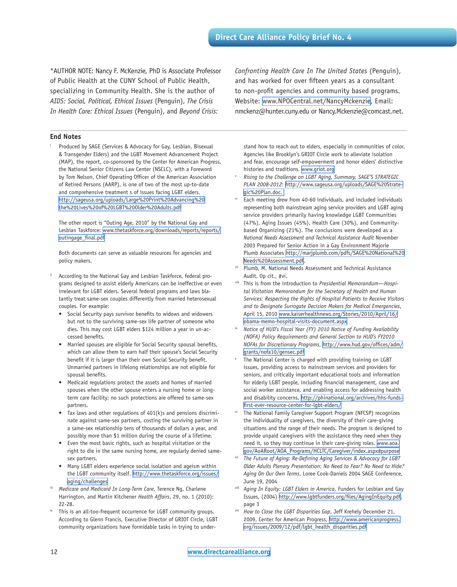\*AUTHOR NOTE: Nancy F. McKenzie, PhD is Associate Professor of Public Health at the CUNY School of Public Health, specializing in Community Health. She is the author of *AIDS: Social, Political, Ethical Issues* (Penguin), *The Crisis In Health Care: Ethical Issues* (Penguin), and *Beyond Crisis:* 

*Confronting Health Care In The United States* (Penguin), and has worked for over fifteen years as a consultant to non-profit agencies and community based programs. Website: [www.NPOCentral.net/NancyMckenzie,](www.NPOCentral.net/NancyMckenzie) Email: nmckenz@hunter.cuny.edu or Nancy.Mckenzie@comcast.net.

#### **End Notes**

Produced by SAGE (Services & Advocacy for Gay, Lesbian, Bisexual & Transgender Elders) and the LGBT Movement Advancement Project (MAP), the report, co-sponsored by the Center for American Progress, the National Senior Citizens Law Center (NSCLC), with a Foreword by Tom Nelson, Chief Operating Officer of the American Association of Retired Persons (AARP), is one of two of the most up-to-date and comprehensive treatment s of issues facing LGBT elders. [http://sageusa.org/uploads/Large%20Print%20Advancing%20](http://sageusa.org/uploads/Large%20Print%20Advancing%20the%20Lives%20of%20LGBT%20Older%20Adults.pdf) [the%20Lives%20of%20LGBT%20Older%20Adults.pdf](http://sageusa.org/uploads/Large%20Print%20Advancing%20the%20Lives%20of%20LGBT%20Older%20Adults.pdf)

The other report is "Outing Age, 2010" by the National Gay and Lesbian Taskforce: [www.thetaskforce.org/downloads/reports/reports/](www.thetaskforce.org/downloads/reports/reports/outingage_final.pdf) [outingage\\_final.pdf](www.thetaskforce.org/downloads/reports/reports/outingage_final.pdf)

Both documents can serve as valuable resources for agencies and policy makers.

- According to the National Gay and Lesbian Taskforce, federal programs designed to assist elderly Americans can be ineffective or even irrelevant for LGBT elders. Several federal programs and laws blatantly treat same-sex couples differently from married heterosexual couples. For example:
	- Social Security pays survivor benefits to widows and widowers but not to the surviving same-sex life partner of someone who dies. This may cost LGBT elders \$124 million a year in un-accessed benefits.
	- Married spouses are eligible for Social Security spousal benefits, which can allow them to earn half their spouse's Social Security benefit if it is larger than their own Social Security benefit. Unmarried partners in lifelong relationships are not eligible for spousal benefits.
	- Medicaid regulations protect the assets and homes of married spouses when the other spouse enters a nursing home or longterm care facility; no such protections are offered to same-sex partners.
	- Tax laws and other regulations of  $401(k)$ s and pensions discriminate against same-sex partners, costing the surviving partner in a same-sex relationship tens of thousands of dollars a year, and possibly more than \$1 million during the course of a lifetime.
	- Even the most basic rights, such as hospital visitation or the right to die in the same nursing home, are regularly denied samesex partners.
	- Many LGBT elders experience social isolation and ageism within the LGBT community itself. [http://www.thetaskforce.org/issues/](http://www.thetaskforce.org/issues/aging/challenges) [aging/challenges](http://www.thetaskforce.org/issues/aging/challenges)
- Medicare and Medicaid In Long-Term Care, Terence Ng, Charlene Harrington, and Martin Kitchener *Health Affairs*, 29, no. 1 (2010): 22-28.<br>This is an all-too-frequent occurrence for LGBT community groups.
- According to Glenn Francis, Executive Director of GRIOT Circle, LGBT community organizations have formidable tasks in trying to under-

stand how to reach out to elders, especially in communities of color. Agencies like Brooklyn's GRIOT Circle work to alleviate isolation and fear, encourage self-empowerment and honor elders' distinctive histories and traditions. <www.griot.org>

- Rising to the Challenge on LGBT Aging, Summary, SAGE'S STRATEGIC *PLAN 2008-2012*: [http://www.sageusa.org/uploads/SAGE%20Strate](http://www.sageusa.org/uploads/SAGE%20Strategic%20Plan.doc. )gic%20Plan.doc.<br>Each meeting drew from 40-60 individuals, and included individuals
- representing both mainstream aging service providers and LGBT aging service providers primarily having knowledge LGBT Communities (47%), Aging Issues (45%), Health Care (30%), and Communitybased Organizing (21%). The conclusions were developed as a *National Needs Assessment and Technical Assistance Audit* November 2003 Prepared for Senior Action in a Gay Environment Majorie Plumb Associates [http://marjplumb.com/pdfs/SAGE%20National%20](http://marjplumb.com/pdfs/SAGE%20National%20Needs%20Assessment.pdf) [Needs%20Assessment.pdf.](http://marjplumb.com/pdfs/SAGE%20National%20Needs%20Assessment.pdf)
- vii Plumb, M. National Needs Assessment and Technical Assistance Audit, Op cit., #vi.
- viii This is from the introduction to *Presidential Memorandum—Hospital Visitation Memorandum for the Secretary of Health and Human Services: Respecting the Rights of Hospital Patients to Receive Visitors and to Designate Surrogate Decision Makers for Medical Emergencies*, April 15, 2010 [www.kaiserhealthnews.org/Stories/2010/April/16/](www.kaiserhealthnews.org/Stories/2010/April/16/obama-memo-hospital-visits-document.aspx) [obama-memo-hospital-visits-document.aspx](www.kaiserhealthnews.org/Stories/2010/April/16/obama-memo-hospital-visits-document.aspx)
- ix *Notice of HUD's Fiscal Year (FY) 2010 Notice of Funding Availability (NOFA) Policy Requirements and General Section to HUD's FY2010 NOFAs for Discretionary Programs*, [http://www.hud.gov/offices/adm/](http://www.hud.gov/offices/adm/grants/nofa10/gensec.pdf) [grants/nofa10/gensec.pdf](http://www.hud.gov/offices/adm/grants/nofa10/gensec.pdf)
- The National Center is charged with providing training on LGBT issues, providing access to mainstream services and providers for seniors, and critically important educational tools and information for elderly LGBT people, including financial management, case and social worker assistance, and enabling access for addressing health and disability concerns. [http://phinational.org/archives/hhs-funds](http://phinational.org/archives/hhs-funds-first-ever-resource-center-for-lgbt-elders/)[first-ever-resource-center-for-lgbt-elders/](http://phinational.org/archives/hhs-funds-first-ever-resource-center-for-lgbt-elders/)
- xi The National Family Caregiver Support Program (NFCSP) recognizes the individuality of caregivers, the diversity of their care-giving situations and the range of their needs. The program is designed to provide unpaid caregivers with the assistance they need when they need it, so they may continue in their care-giving roles. [www.aoa.](www.aoa.gov/AoARoot/AOA_Programs/HCLTC/Caregiver/index.aspx#purpose) [gov/AoARoot/AOA\\_Programs/HCLTC/Caregiver/index.aspx#purpose](www.aoa.gov/AoARoot/AOA_Programs/HCLTC/Caregiver/index.aspx#purpose)
- The Future of Aging: Re-Defining Aging Services & Advocacy for LGBT *Older Adults Plenary Presentation: No Need to Fear? No Need to Hide? Aging On Our Own Terms*, Loree Cook-Daniels 2004 SAGE Conference,
- June 19, 2004<br><sup>xiii</sup> *Aging In Equity: LGBT Elders in America*, Funders for Lesbian and Gay Issues, (2004) <http://www.lgbtfunders.org/files/AgingInEquity.pdf>, page 3
- xiv *How to Close the LGBT Disparities Gap*, Jeff Krehely December 21, 2009, Center for American Progress, [http://www.americanprogress.](http://www.americanprogress.org/issues/2009/12/pdf/lgbt_health_disparities.pdf) [org/issues/2009/12/pdf/lgbt\\_health\\_disparities.pdf](http://www.americanprogress.org/issues/2009/12/pdf/lgbt_health_disparities.pdf)